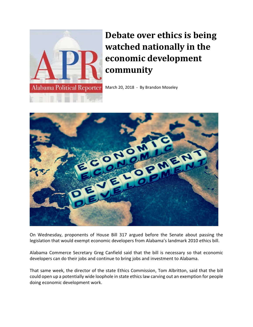

## **Debate over ethics is being watched nationally in the economic development community**

March 20, 2018 - By Brandon Moseley



On Wednesday, proponents of House Bill 317 argued before the Senate about passing the legislation that would exempt economic developers from Alabama's landmark 2010 ethics bill.

Alabama Commerce Secretary Greg Canfield said that the bill is necessary so that economic developers can do their jobs and continue to bring jobs and investment to Alabama.

That same week, the director of the state Ethics Commission, Tom Albritton, said that the bill could open up a potentially wide loophole in state ethics law carving out an exemption for people doing economic development work.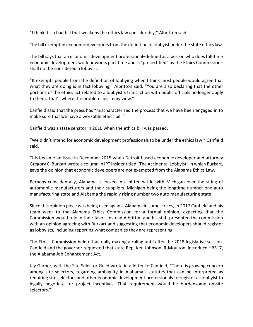"I think it's a bad bill that weakens the ethics law considerably," Albritton said.

The bill exempted economic developers from the definition of lobbyist under the state ethics law.

The bill says that an economic development professional–defined as a person who does full‐time economic development work or works part-time and is "precertified" by the Ethics Commissionshall not be considered a lobbyist.

"It exempts people from the definition of lobbying when I think most people would agree that what they are doing is in fact lobbying," Albritton said. "You are also declaring that the other portions of the ethics act related to a lobbyist's transaction with public officials no longer apply to them. That's where the problem lies in my view."

Canfield said that the press has "mischaracterized the process that we have been engaged in to make sure that we have a workable ethics bill."

Canfield was a state senator in 2010 when the ethics bill was passed.

"We didn't intend for economic development professionals to be under the ethics law," Canfield said.

This became an issue in December 2015 when Detroit based economic developer and attorney Gregory C. Burkart wrote a column in IPT insider titled "The Accidental Lobbyist" in which Burkart, gave the opinion that economic developers are not exempted from the Alabama Ethics Law.

Perhaps coincidentally, Alabama is locked in a bitter battle with Michigan over the siting of automobile manufacturers and their suppliers. Michigan being the longtime number one auto manufacturing state and Alabama the rapidly rising number two auto manufacturing state.

Since this opinion piece was being used against Alabama in some circles, in 2017 Canfield and his team went to the Alabama Ethics Commission for a formal opinion, expecting that the Commission would rule in their favor. Instead Albritton and his staff presented the commission with an opinion agreeing with Burkart and suggesting that economic developers should register as lobbyists, including reporting what companies they are representing.

The Ethics Commission held off actually making a ruling until after the 2018 legislative session. Canfield and the governor requested that state Rep. Ken Johnson, R‐Moulton, introduce HB317, the Alabama Job Enhancement Act.

Jay Garner, with the Site Selector Guild wrote in a letter to Canfield, "There is growing concern among site selectors, regarding ambiguity in Alabama's statutes that can be interpreted as requiring site selectors and other economic development professionals to register as lobbyist to legally negotiate for project incentives. That requirement would be burdensome on-site selectors."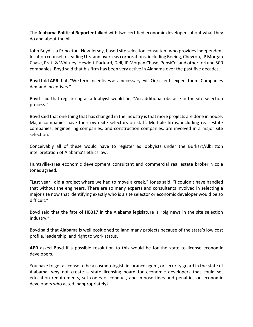The **Alabama Political Reporter** talked with two certified economic developers about what they do and about the bill.

John Boyd is a Princeton, New Jersey, based site selection consultant who provides independent location counsel to leading U.S. and overseas corporations, including Boeing, Chevron, JP Morgan Chase, Pratt & Whitney, Hewlett‐Packard, Dell, JP Morgan Chase, PepsiCo, and other fortune 500 companies. Boyd said that his firm has been very active in Alabama over the past five decades.

Boyd told **APR** that, "We term incentives as a necessary evil. Our clients expect them. Companies demand incentives."

Boyd said that registering as a lobbyist would be, "An additional obstacle in the site selection process."

Boyd said that one thing that has changed in the industry isthat more projects are done in house. Major companies have their own site selectors on staff. Multiple firms, including real estate companies, engineering companies, and construction companies, are involved in a major site selection.

Conceivably all of these would have to register as lobbyists under the Burkart/Albritton interpretation of Alabama's ethics law.

Huntsville‐area economic development consultant and commercial real estate broker Nicole Jones agreed.

"Last year I did a project where we had to move a creek," Jones said. "I couldn't have handled that without the engineers. There are so many experts and consultants involved in selecting a major site now that identifying exactly who is a site selector or economic developer would be so difficult."

Boyd said that the fate of HB317 in the Alabama legislature is "big news in the site selection industry."

Boyd said that Alabama is well positioned to land many projects because of the state's low cost profile, leadership, and right to work status.

**APR** asked Boyd if a possible resolution to this would be for the state to license economic developers.

You have to get a license to be a cosmetologist, insurance agent, or security guard in the state of Alabama, why not create a state licensing board for economic developers that could set education requirements, set codes of conduct, and impose fines and penalties on economic developers who acted inappropriately?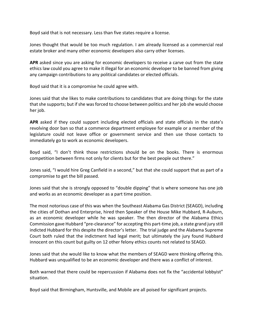Boyd said that is not necessary. Less than five states require a license.

Jones thought that would be too much regulation. I am already licensed as a commercial real estate broker and many other economic developers also carry other licenses.

**APR** asked since you are asking for economic developers to receive a carve out from the state ethics law could you agree to make it illegal for an economic developer to be banned from giving any campaign contributions to any political candidates or elected officials.

Boyd said that it is a compromise he could agree with.

Jones said that she likes to make contributions to candidates that are doing things for the state that she supports; but if she was forced to choose between politics and her job she would choose her job.

**APR** asked if they could support including elected officials and state officials in the state's revolving door ban so that a commerce department employee for example or a member of the legislature could not leave office or government service and then use those contacts to immediately go to work as economic developers.

Boyd said, "I don't think those restrictions should be on the books. There is enormous competition between firms not only for clients but for the best people out there."

Jones said, "I would hire Greg Canfield in a second," but that she could support that as part of a compromise to get the bill passed.

Jones said that she is strongly opposed to "double dipping" that is where someone has one job and works as an economic developer as a part time position.

The most notorious case of this was when the Southeast Alabama Gas District (SEAGD), including the cities of Dothan and Enterprise, hired then Speaker of the House Mike Hubbard, R‐Auburn, as an economic developer while he was speaker. The then director of the Alabama Ethics Commission gave Hubbard "pre‐clearance" for accepting this part‐time job, a state grand jury still indicted Hubbard for this despite the director's letter. The trial judge and the Alabama Supreme Court both ruled that the indictment had legal merit; but ultimately the jury found Hubbard innocent on this count but guilty on 12 other felony ethics counts not related to SEAGD.

Jones said that she would like to know what the members of SEAGD were thinking offering this. Hubbard was unqualified to be an economic developer and there was a conflict of interest.

Both warned that there could be repercussion if Alabama does not fix the "accidental lobbyist" situation.

Boyd said that Birmingham, Huntsville, and Mobile are all poised for significant projects.